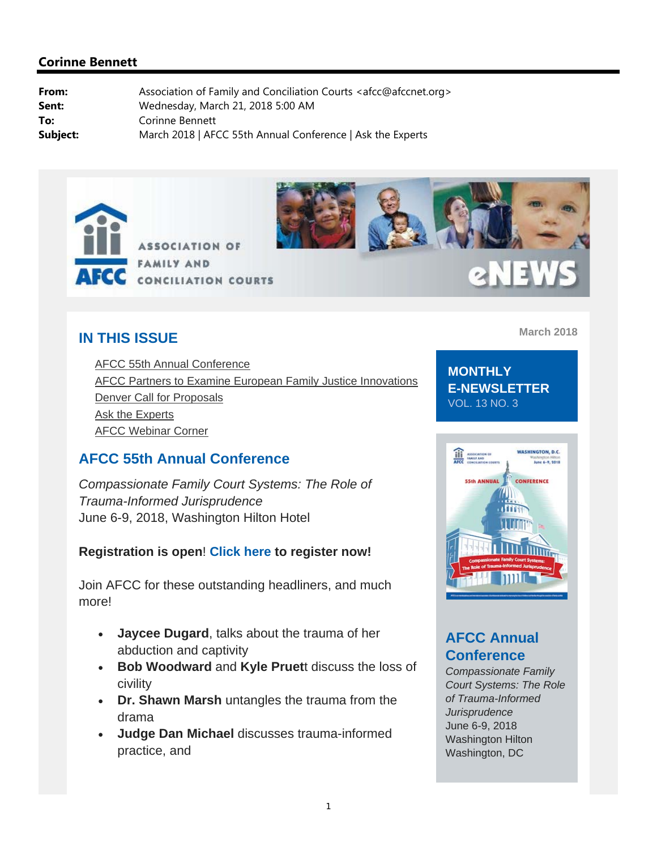



# 2NEW

## **IN THIS ISSUE**

AFCC 55th Annual Conference AFCC Partners to Examine European Family Justice Innovations Denver Call for Proposals Ask the Experts AFCC Webinar Corner

# **AFCC 55th Annual Conference**

*Compassionate Family Court Systems: The Role of Trauma-Informed Jurisprudence* June 6-9, 2018, Washington Hilton Hotel

## **Registration is open**! **Click here to register now!**

Join AFCC for these outstanding headliners, and much more!

- **Jaycee Dugard**, talks about the trauma of her abduction and captivity
- **Bob Woodward** and **Kyle Pruet**t discuss the loss of civility
- **Dr. Shawn Marsh** untangles the trauma from the drama
- **Judge Dan Michael** discusses trauma-informed practice, and

**March 2018**

**MONTHLY E-NEWSLETTER**  VOL. 13 NO. 3



# **AFCC Annual Conference**

*Compassionate Family Court Systems: The Role of Trauma-Informed Jurisprudence* June 6-9, 2018 Washington Hilton Washington, DC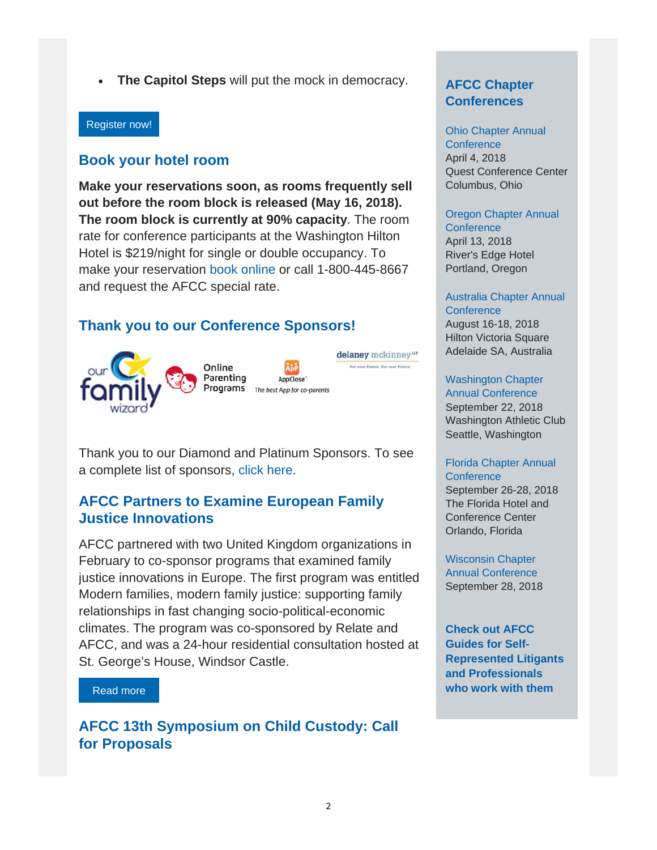**The Capitol Steps** will put the mock in democracy.

#### Register now!

## **Book your hotel room**

**Make your reservations soon, as rooms frequently sell out before the room block is released (May 16, 2018). The room block is currently at 90% capacity**. The room rate for conference participants at the Washington Hilton Hotel is \$219/night for single or double occupancy. To make your reservation book online or call 1-800-445-8667 and request the AFCC special rate.

## **Thank you to our Conference Sponsors!**





delaney mckinney<sup>ur</sup> For your Family, For your Future

Thank you to our Diamond and Platinum Sponsors. To see a complete list of sponsors, click here.

## **AFCC Partners to Examine European Family Justice Innovations**

AFCC partnered with two United Kingdom organizations in February to co-sponsor programs that examined family justice innovations in Europe. The first program was entitled Modern families, modern family justice: supporting family relationships in fast changing socio-political-economic climates. The program was co-sponsored by Relate and AFCC, and was a 24-hour residential consultation hosted at St. George's House, Windsor Castle.

#### Read more

**AFCC 13th Symposium on Child Custody: Call for Proposals** 

## **AFCC Chapter Conferences**

# Ohio Chapter Annual

**Conference** April 4, 2018 Quest Conference Center Columbus, Ohio

#### Oregon Chapter Annual

**Conference** April 13, 2018 River's Edge Hotel Portland, Oregon

#### Australia Chapter Annual

**Conference** August 16-18, 2018 Hilton Victoria Square Adelaide SA, Australia

#### Washington Chapter

Annual Conference September 22, 2018 Washington Athletic Club Seattle, Washington

#### Florida Chapter Annual **Conference**

September 26-28, 2018 The Florida Hotel and Conference Center Orlando, Florida

Wisconsin Chapter Annual Conference September 28, 2018

**Check out AFCC Guides for Self-Represented Litigants and Professionals who work with them**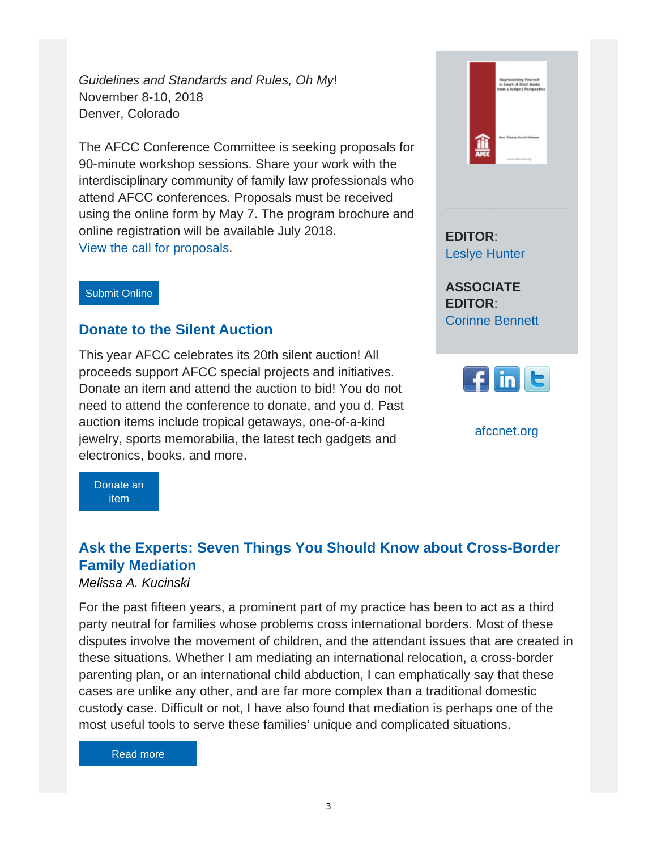*Guidelines and Standards and Rules, Oh My*! November 8-10, 2018 Denver, Colorado

The AFCC Conference Committee is seeking proposals for 90-minute workshop sessions. Share your work with the interdisciplinary community of family law professionals who attend AFCC conferences. Proposals must be received using the online form by May 7. The program brochure and online registration will be available July 2018. View the call for proposals.

#### Submit Online

## **Donate to the Silent Auction**

This year AFCC celebrates its 20th silent auction! All proceeds support AFCC special projects and initiatives. Donate an item and attend the auction to bid! You do not need to attend the conference to donate, and you d. Past auction items include tropical getaways, one-of-a-kind jewelry, sports memorabilia, the latest tech gadgets and electronics, books, and more.

企业

**\_\_\_\_\_\_\_\_\_\_\_\_\_\_\_\_\_**

**EDITOR**: Leslye Hunter

**ASSOCIATE EDITOR**: Corinne Bennett



afccnet.org

Donate an item

# **Ask the Experts: Seven Things You Should Know about Cross-Border Family Mediation**

## *Melissa A. Kucinski*

For the past fifteen years, a prominent part of my practice has been to act as a third party neutral for families whose problems cross international borders. Most of these disputes involve the movement of children, and the attendant issues that are created in these situations. Whether I am mediating an international relocation, a cross-border parenting plan, or an international child abduction, I can emphatically say that these cases are unlike any other, and are far more complex than a traditional domestic custody case. Difficult or not, I have also found that mediation is perhaps one of the most useful tools to serve these families' unique and complicated situations.

#### Read more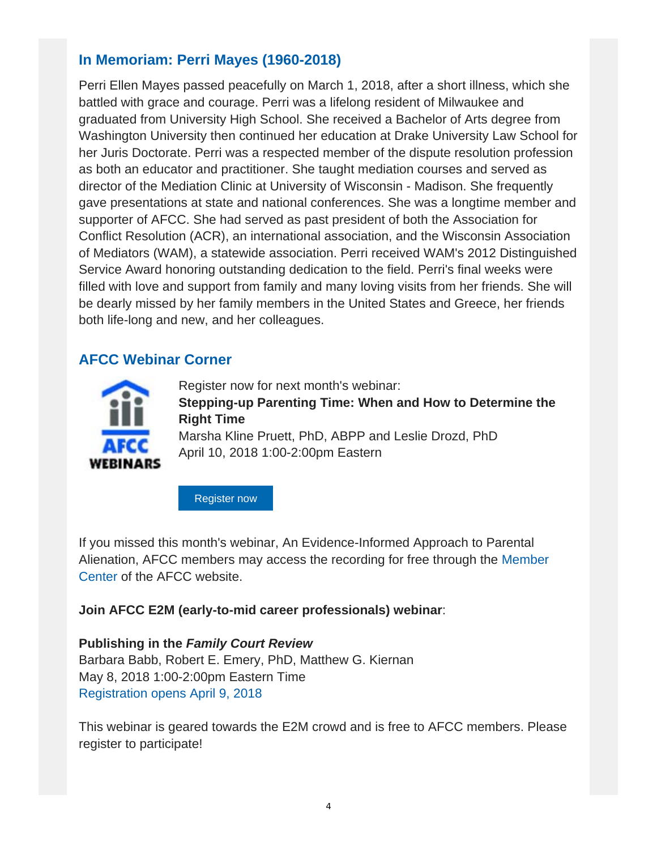# **In Memoriam: Perri Mayes (1960-2018)**

Perri Ellen Mayes passed peacefully on March 1, 2018, after a short illness, which she battled with grace and courage. Perri was a lifelong resident of Milwaukee and graduated from University High School. She received a Bachelor of Arts degree from Washington University then continued her education at Drake University Law School for her Juris Doctorate. Perri was a respected member of the dispute resolution profession as both an educator and practitioner. She taught mediation courses and served as director of the Mediation Clinic at University of Wisconsin - Madison. She frequently gave presentations at state and national conferences. She was a longtime member and supporter of AFCC. She had served as past president of both the Association for Conflict Resolution (ACR), an international association, and the Wisconsin Association of Mediators (WAM), a statewide association. Perri received WAM's 2012 Distinguished Service Award honoring outstanding dedication to the field. Perri's final weeks were filled with love and support from family and many loving visits from her friends. She will be dearly missed by her family members in the United States and Greece, her friends both life-long and new, and her colleagues.

## **AFCC Webinar Corner**



Register now for next month's webinar: **Stepping-up Parenting Time: When and How to Determine the Right Time** Marsha Kline Pruett, PhD, ABPP and Leslie Drozd, PhD April 10, 2018 1:00-2:00pm Eastern

Register now

If you missed this month's webinar, An Evidence-Informed Approach to Parental Alienation, AFCC members may access the recording for free through the Member Center of the AFCC website.

**Join AFCC E2M (early-to-mid career professionals) webinar**:

**Publishing in the** *Family Court Review* Barbara Babb, Robert E. Emery, PhD, Matthew G. Kiernan May 8, 2018 1:00-2:00pm Eastern Time Registration opens April 9, 2018

This webinar is geared towards the E2M crowd and is free to AFCC members. Please register to participate!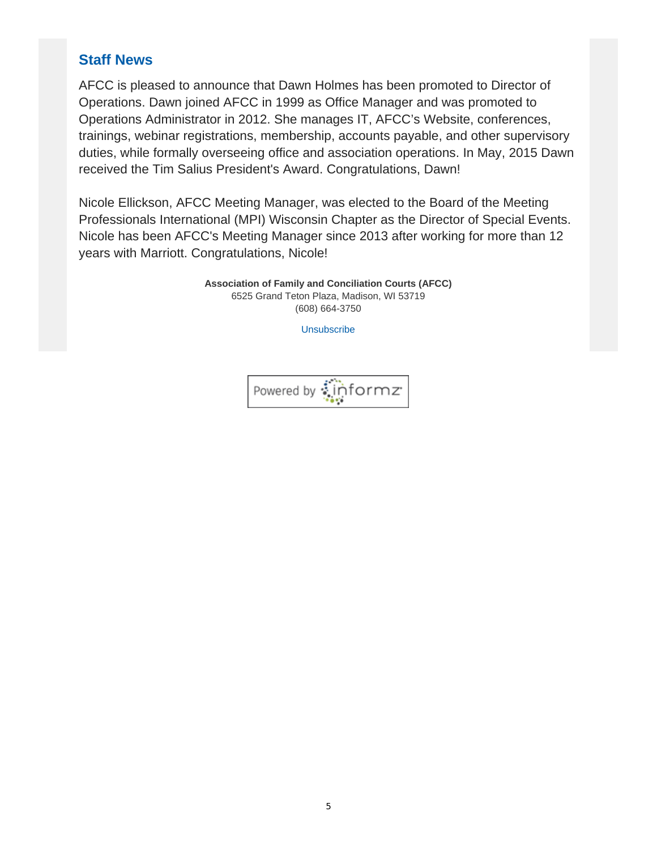# **Staff News**

AFCC is pleased to announce that Dawn Holmes has been promoted to Director of Operations. Dawn joined AFCC in 1999 as Office Manager and was promoted to Operations Administrator in 2012. She manages IT, AFCC's Website, conferences, trainings, webinar registrations, membership, accounts payable, and other supervisory duties, while formally overseeing office and association operations. In May, 2015 Dawn received the Tim Salius President's Award. Congratulations, Dawn!

Nicole Ellickson, AFCC Meeting Manager, was elected to the Board of the Meeting Professionals International (MPI) Wisconsin Chapter as the Director of Special Events. Nicole has been AFCC's Meeting Manager since 2013 after working for more than 12 years with Marriott. Congratulations, Nicole!

> **Association of Family and Conciliation Courts (AFCC)** 6525 Grand Teton Plaza, Madison, WI 53719 (608) 664-3750

> > **Unsubscribe**

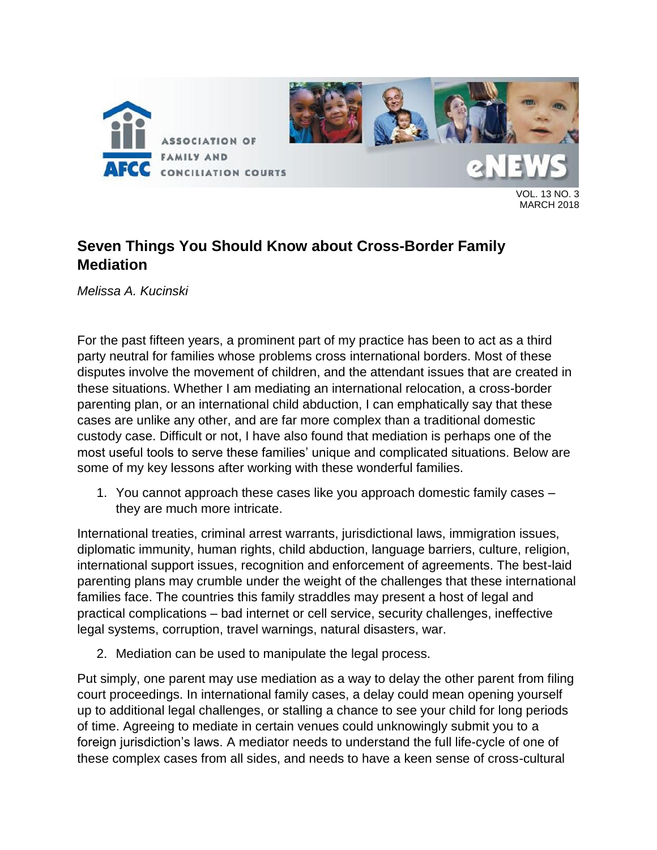

VOL. 13 NO. 3 MARCH 2018

# **Seven Things You Should Know about Cross-Border Family Mediation**

*Melissa A. Kucinski*

For the past fifteen years, a prominent part of my practice has been to act as a third party neutral for families whose problems cross international borders. Most of these disputes involve the movement of children, and the attendant issues that are created in these situations. Whether I am mediating an international relocation, a cross-border parenting plan, or an international child abduction, I can emphatically say that these cases are unlike any other, and are far more complex than a traditional domestic custody case. Difficult or not, I have also found that mediation is perhaps one of the most useful tools to serve these families' unique and complicated situations. Below are some of my key lessons after working with these wonderful families.

1. You cannot approach these cases like you approach domestic family cases – they are much more intricate.

International treaties, criminal arrest warrants, jurisdictional laws, immigration issues, diplomatic immunity, human rights, child abduction, language barriers, culture, religion, international support issues, recognition and enforcement of agreements. The best-laid parenting plans may crumble under the weight of the challenges that these international families face. The countries this family straddles may present a host of legal and practical complications – bad internet or cell service, security challenges, ineffective legal systems, corruption, travel warnings, natural disasters, war.

2. Mediation can be used to manipulate the legal process.

Put simply, one parent may use mediation as a way to delay the other parent from filing court proceedings. In international family cases, a delay could mean opening yourself up to additional legal challenges, or stalling a chance to see your child for long periods of time. Agreeing to mediate in certain venues could unknowingly submit you to a foreign jurisdiction's laws. A mediator needs to understand the full life-cycle of one of these complex cases from all sides, and needs to have a keen sense of cross-cultural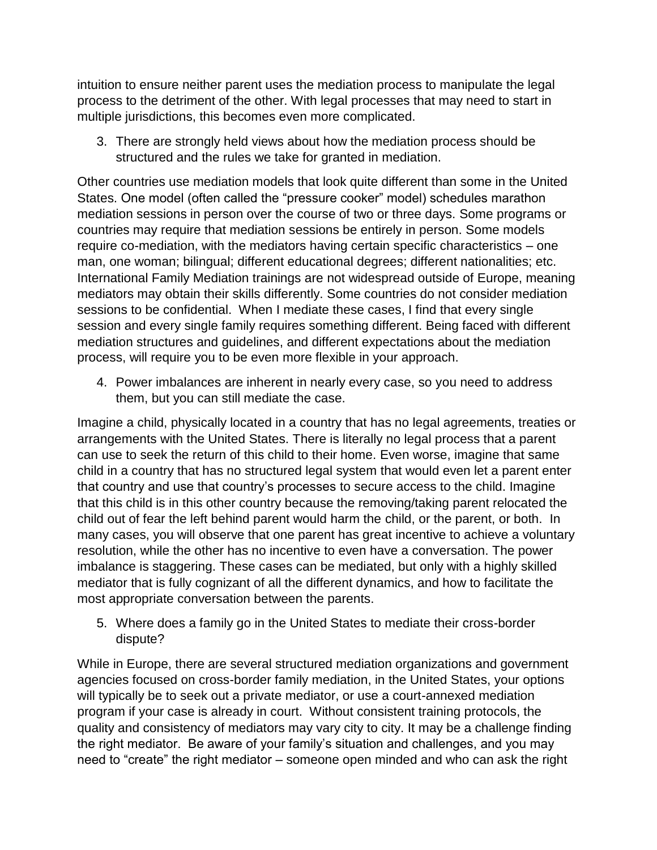intuition to ensure neither parent uses the mediation process to manipulate the legal process to the detriment of the other. With legal processes that may need to start in multiple jurisdictions, this becomes even more complicated.

3. There are strongly held views about how the mediation process should be structured and the rules we take for granted in mediation.

Other countries use mediation models that look quite different than some in the United States. One model (often called the "pressure cooker" model) schedules marathon mediation sessions in person over the course of two or three days. Some programs or countries may require that mediation sessions be entirely in person. Some models require co-mediation, with the mediators having certain specific characteristics – one man, one woman; bilingual; different educational degrees; different nationalities; etc. International Family Mediation trainings are not widespread outside of Europe, meaning mediators may obtain their skills differently. Some countries do not consider mediation sessions to be confidential. When I mediate these cases, I find that every single session and every single family requires something different. Being faced with different mediation structures and guidelines, and different expectations about the mediation process, will require you to be even more flexible in your approach.

4. Power imbalances are inherent in nearly every case, so you need to address them, but you can still mediate the case.

Imagine a child, physically located in a country that has no legal agreements, treaties or arrangements with the United States. There is literally no legal process that a parent can use to seek the return of this child to their home. Even worse, imagine that same child in a country that has no structured legal system that would even let a parent enter that country and use that country's processes to secure access to the child. Imagine that this child is in this other country because the removing/taking parent relocated the child out of fear the left behind parent would harm the child, or the parent, or both. In many cases, you will observe that one parent has great incentive to achieve a voluntary resolution, while the other has no incentive to even have a conversation. The power imbalance is staggering. These cases can be mediated, but only with a highly skilled mediator that is fully cognizant of all the different dynamics, and how to facilitate the most appropriate conversation between the parents.

5. Where does a family go in the United States to mediate their cross-border dispute?

While in Europe, there are several structured mediation organizations and government agencies focused on cross-border family mediation, in the United States, your options will typically be to seek out a private mediator, or use a court-annexed mediation program if your case is already in court. Without consistent training protocols, the quality and consistency of mediators may vary city to city. It may be a challenge finding the right mediator. Be aware of your family's situation and challenges, and you may need to "create" the right mediator – someone open minded and who can ask the right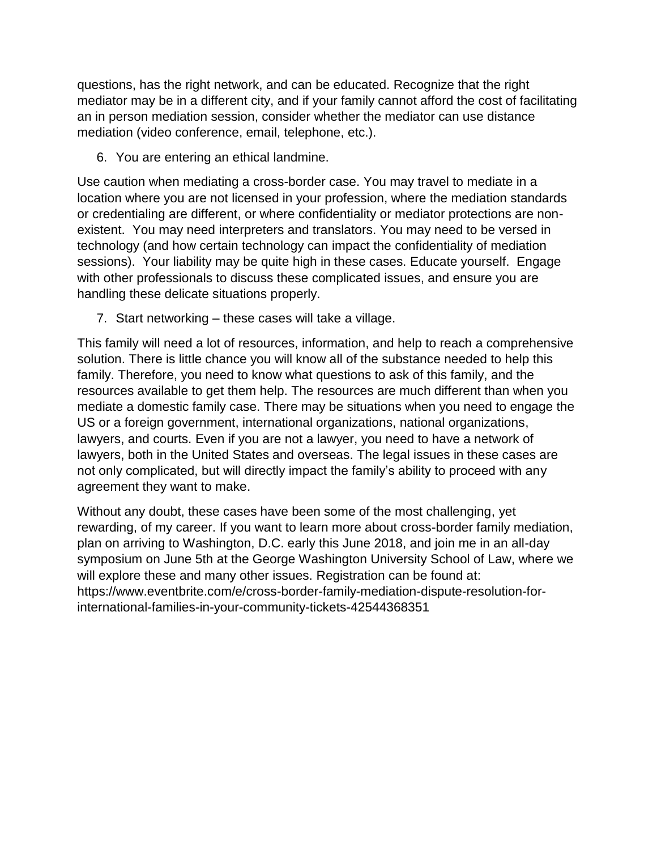questions, has the right network, and can be educated. Recognize that the right mediator may be in a different city, and if your family cannot afford the cost of facilitating an in person mediation session, consider whether the mediator can use distance mediation (video conference, email, telephone, etc.).

6. You are entering an ethical landmine.

Use caution when mediating a cross-border case. You may travel to mediate in a location where you are not licensed in your profession, where the mediation standards or credentialing are different, or where confidentiality or mediator protections are nonexistent. You may need interpreters and translators. You may need to be versed in technology (and how certain technology can impact the confidentiality of mediation sessions). Your liability may be quite high in these cases. Educate yourself. Engage with other professionals to discuss these complicated issues, and ensure you are handling these delicate situations properly.

7. Start networking – these cases will take a village.

This family will need a lot of resources, information, and help to reach a comprehensive solution. There is little chance you will know all of the substance needed to help this family. Therefore, you need to know what questions to ask of this family, and the resources available to get them help. The resources are much different than when you mediate a domestic family case. There may be situations when you need to engage the US or a foreign government, international organizations, national organizations, lawyers, and courts. Even if you are not a lawyer, you need to have a network of lawyers, both in the United States and overseas. The legal issues in these cases are not only complicated, but will directly impact the family's ability to proceed with any agreement they want to make.

Without any doubt, these cases have been some of the most challenging, yet rewarding, of my career. If you want to learn more about cross-border family mediation, plan on arriving to Washington, D.C. early this June 2018, and join me in an all-day symposium on June 5th at the George Washington University School of Law, where we will explore these and many other issues. Registration can be found at: https://www.eventbrite.com/e/cross-border-family-mediation-dispute-resolution-forinternational-families-in-your-community-tickets-42544368351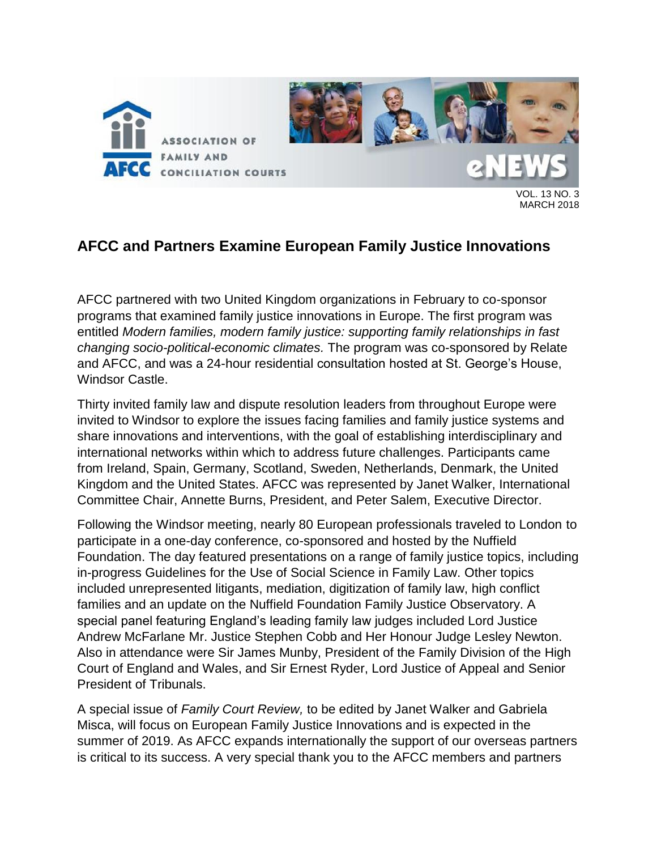

MARCH 2018

# **AFCC and Partners Examine European Family Justice Innovations**

AFCC partnered with two United Kingdom organizations in February to co-sponsor programs that examined family justice innovations in Europe. The first program was entitled *Modern families, modern family justice: supporting family relationships in fast changing socio-political-economic climates.* The program was co-sponsored by Relate and AFCC, and was a 24-hour residential consultation hosted at St. George's House, Windsor Castle.

Thirty invited family law and dispute resolution leaders from throughout Europe were invited to Windsor to explore the issues facing families and family justice systems and share innovations and interventions, with the goal of establishing interdisciplinary and international networks within which to address future challenges. Participants came from Ireland, Spain, Germany, Scotland, Sweden, Netherlands, Denmark, the United Kingdom and the United States. AFCC was represented by Janet Walker, International Committee Chair, Annette Burns, President, and Peter Salem, Executive Director.

Following the Windsor meeting, nearly 80 European professionals traveled to London to participate in a one-day conference, co-sponsored and hosted by the Nuffield Foundation. The day featured presentations on a range of family justice topics, including in-progress Guidelines for the Use of Social Science in Family Law. Other topics included unrepresented litigants, mediation, digitization of family law, high conflict families and an update on the Nuffield Foundation Family Justice Observatory. A special panel featuring England's leading family law judges included Lord Justice Andrew McFarlane Mr. Justice Stephen Cobb and Her Honour Judge Lesley Newton. Also in attendance were Sir James Munby, President of the Family Division of the High Court of England and Wales, and Sir Ernest Ryder, Lord Justice of Appeal and Senior President of Tribunals.

A special issue of *Family Court Review,* to be edited by Janet Walker and Gabriela Misca, will focus on European Family Justice Innovations and is expected in the summer of 2019. As AFCC expands internationally the support of our overseas partners is critical to its success. A very special thank you to the AFCC members and partners